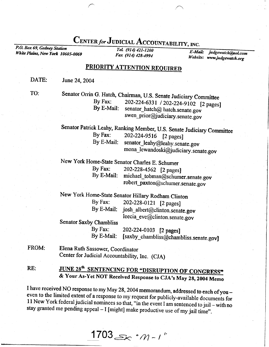## CENTER for JUDICIAL ACCOUNTABILITY, INC.<br> *Tel.* (914) 421-1200

White Plains, New York 10605-0069 Fax  $(914)$  428-4994

E-Moil: Website: www.judgewatch.org judgewatch@aol.com

## PRIORITY ATTENTION REOUIRED

DATE: June 24, 2004

TO:

Senator Orrin G. Hatch, Chairman, U.S. Senate Judiciary Committee<br>By Fax: 202-224-6331 / 202-224-0102 [2004] By Fax: 202-224-6331 / 202-224-9102 [2 pages]<br>By E-Mail: senator\_hatch@ hatch.senate.gov swen\_prior@judiciary.senate.gov

Senator Patrick Leahy, Ranking Member, U.S. Senate Judiciary Committee<br>By Fax: 202-224-9516 [2 nages] By Fax:  $202-224-9516$  [2 pages]<br>By E-Mail: senator leahy@leahy sena senator\_leahy@leahy.senate.gov mona\_lewandoski@judiciary.senate.gov

New York Home-State Senator Charles E. Schumer<br>By Fax: 202-228-4562 [2 pages

By Fax:  $202-228-4562$  [2 pages]<br>By E-Mail: michael tobman@schume michael\_tobman@schumer.senate.gov robert\_paxton@schumer.senate.gov

New York Home-State Senator Hillary Rodham Clinton<br>By Fax: 202-228-0121 [2 nages]

By Fax:  $202-228-0121$  [2 pages]<br>By E-Mail: josh albert@clinton senat josh\_albert@clinton.senate.gov leecia\_eve@clinton. senate. gov

Senator Saxby Chambliss

By Fax:  $202-224-0103$  [2 pages]<br>By E-Mail: [saxby chambliss@cham] [saxby\_chambliss@chambliss.senate.gov]

FROM: Elena Ruth Sassower, Coordinator Center for Judicial Accountability, Inc. (CJA)

## RE: JUNE 28<sup>th</sup> SENTENCING FOR "DISRUPTION OF CONGRESS" & Your As-Yet NOT Received Response to CJA's May 28, 2004 Memo

I have received NO response to my May 28, 2004 memorandum, addressed to each of you - even to the limited extent of a response to my request for publicly-available documents for 11 New York federal judicial nominees so that, "in the event I am sentenced to jail – with no stay granted me pending appeal – I [might] make productive use of my jail time".

1703 $\gg$  . $m$  - t